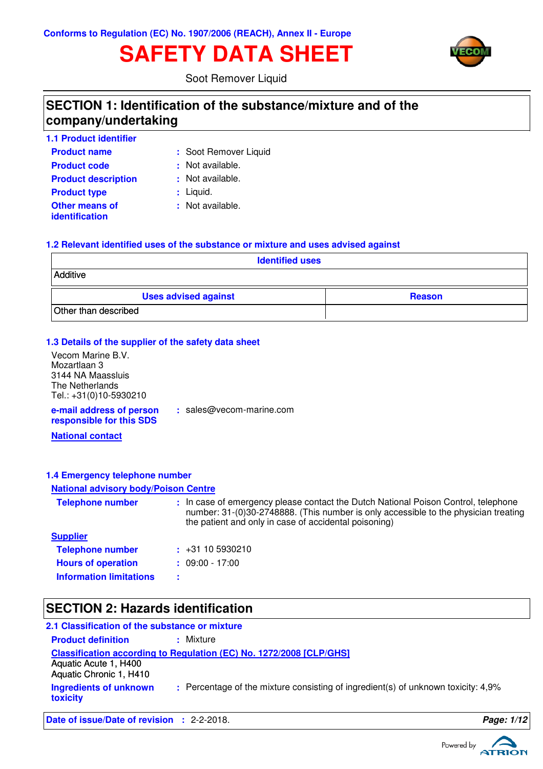# **SAFETY DATA SHEET**



Soot Remover Liquid

### **SECTION 1: Identification of the substance/mixture and of the company/undertaking**

| <b>1.1 Product identifier</b>           |                       |
|-----------------------------------------|-----------------------|
| <b>Product name</b>                     | : Soot Remover Liquid |
| <b>Product code</b>                     | : Not available.      |
| <b>Product description</b>              | : Not available.      |
| <b>Product type</b>                     | $:$ Liquid.           |
| <b>Other means of</b><br>identification | : Not available.      |

#### **1.2 Relevant identified uses of the substance or mixture and uses advised against**

| <b>Identified uses</b>      |               |  |
|-----------------------------|---------------|--|
| Additive                    |               |  |
| <b>Uses advised against</b> | <b>Reason</b> |  |
| Other than described        |               |  |

#### **1.3 Details of the supplier of the safety data sheet**

| Vecom Marine B.V.                                    |                            |
|------------------------------------------------------|----------------------------|
| Mozartlaan 3                                         |                            |
| 3144 NA Maassluis                                    |                            |
| The Netherlands                                      |                            |
| Tel.: +31(0)10-5930210                               |                            |
| e-mail address of person<br>responsible for this SDS | $:$ sales@vecom-marine.com |

**National contact**

#### **1.4 Emergency telephone number**

### **National advisory body/Poison Centre**

| <b>Telephone number</b>        | : In case of emergency please contact the Dutch National Poison Control, telephone<br>number: 31-(0)30-2748888. (This number is only accessible to the physician treating<br>the patient and only in case of accidental poisoning) |
|--------------------------------|------------------------------------------------------------------------------------------------------------------------------------------------------------------------------------------------------------------------------------|
| <b>Supplier</b>                |                                                                                                                                                                                                                                    |
| <b>Telephone number</b>        | $\div$ +31 10 5930210                                                                                                                                                                                                              |
| <b>Hours of operation</b>      | $: 09:00 - 17:00$                                                                                                                                                                                                                  |
| <b>Information limitations</b> | ÷                                                                                                                                                                                                                                  |

# **SECTION 2: Hazards identification**

| 2.1 Classification of the substance or mixture   |                                                                                   |
|--------------------------------------------------|-----------------------------------------------------------------------------------|
| <b>Product definition</b>                        | : Mixture                                                                         |
|                                                  | Classification according to Regulation (EC) No. 1272/2008 [CLP/GHS]               |
| Aquatic Acute 1, H400<br>Aquatic Chronic 1, H410 |                                                                                   |
| Ingredients of unknown<br>toxicity               | : Percentage of the mixture consisting of ingredient(s) of unknown toxicity: 4,9% |
|                                                  |                                                                                   |

**Date of issue/Date of revision :** 2-2-2018. **Page: 1/12**

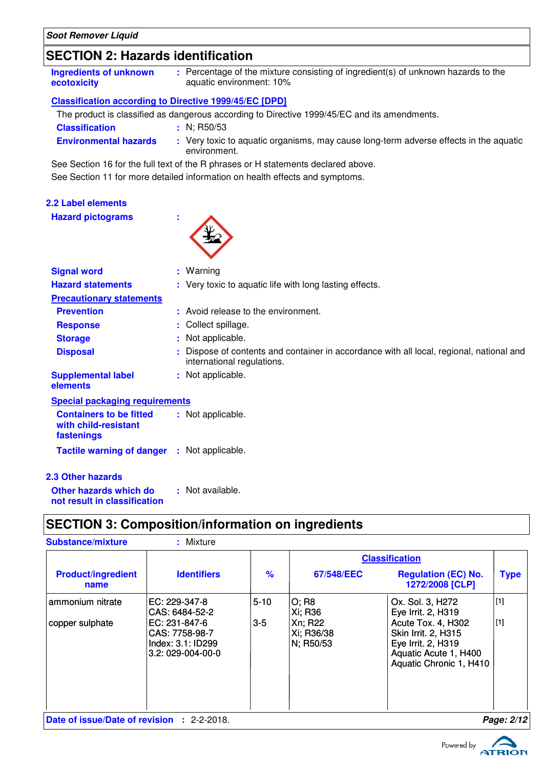**2.2 Label elements**

**Hazard pictograms :**

### **SECTION 2: Hazards identification**

| Ingredients of unknown<br>ecotoxicity                         | : Percentage of the mixture consisting of ingredient(s) of unknown hazards to the<br>aquatic environment: 10% |
|---------------------------------------------------------------|---------------------------------------------------------------------------------------------------------------|
| <b>Classification according to Directive 1999/45/EC [DPD]</b> |                                                                                                               |
|                                                               | The product is classified as dangerous according to Directive 1999/45/EC and its amendments.                  |
| <b>Classification</b>                                         | $\pm$ N: R50/53                                                                                               |

**Environmental hazards :** Very toxic to aquatic organisms, may cause long-term adverse effects in the aquatic environment.

See Section 16 for the full text of the R phrases or H statements declared above.

See Section 11 for more detailed information on health effects and symptoms.

| <b>Signal word</b>                                                   | : Warning                                                                                                            |
|----------------------------------------------------------------------|----------------------------------------------------------------------------------------------------------------------|
| <b>Hazard statements</b>                                             | : Very toxic to aquatic life with long lasting effects.                                                              |
| <b>Precautionary statements</b>                                      |                                                                                                                      |
| <b>Prevention</b>                                                    | : Avoid release to the environment.                                                                                  |
| <b>Response</b>                                                      | : Collect spillage.                                                                                                  |
| <b>Storage</b>                                                       | Not applicable.<br>÷.                                                                                                |
| <b>Disposal</b>                                                      | Dispose of contents and container in accordance with all local, regional, national and<br>international regulations. |
| <b>Supplemental label</b><br>elements                                | : Not applicable.                                                                                                    |
| <b>Special packaging requirements</b>                                |                                                                                                                      |
| <b>Containers to be fitted</b><br>with child-resistant<br>fastenings | : Not applicable.                                                                                                    |
| Tactile warning of danger : Not applicable.                          |                                                                                                                      |
| <b>2.3 Other hazards</b>                                             |                                                                                                                      |
| Other hazards which do<br>not result in classification               | : Not available.                                                                                                     |

## **SECTION 3: Composition/information on ingredients**

| <b>Substance/mixture</b>                   | : Mixture                                                                                                    |                   |                                                        |                                                                                                                                                                      |                |
|--------------------------------------------|--------------------------------------------------------------------------------------------------------------|-------------------|--------------------------------------------------------|----------------------------------------------------------------------------------------------------------------------------------------------------------------------|----------------|
|                                            |                                                                                                              |                   |                                                        | <b>Classification</b>                                                                                                                                                |                |
| <b>Product/ingredient</b><br>name          | <b>Identifiers</b>                                                                                           | $\frac{9}{6}$     | 67/548/EEC                                             | <b>Regulation (EC) No.</b><br>1272/2008 [CLP]                                                                                                                        | <b>Type</b>    |
| ammonium nitrate<br>copper sulphate        | EC: 229-347-8<br>CAS: 6484-52-2<br>EC: 231-847-6<br>CAS: 7758-98-7<br>Index: 3.1: ID299<br>3.2: 029-004-00-0 | $5 - 10$<br>$3-5$ | O; R8<br>Xi; R36<br>Xn; R22<br>Xi; R36/38<br>N; R50/53 | Ox. Sol. 3, H272<br>Eye Irrit. 2, H319<br>Acute Tox. 4, H302<br><b>Skin Irrit. 2, H315</b><br>Eye Irrit. 2, H319<br>Aquatic Acute 1, H400<br>Aquatic Chronic 1, H410 | $[1]$<br>$[1]$ |
| Date of issue/Date of revision : 2-2-2018. |                                                                                                              |                   |                                                        |                                                                                                                                                                      | Page: 2/12     |

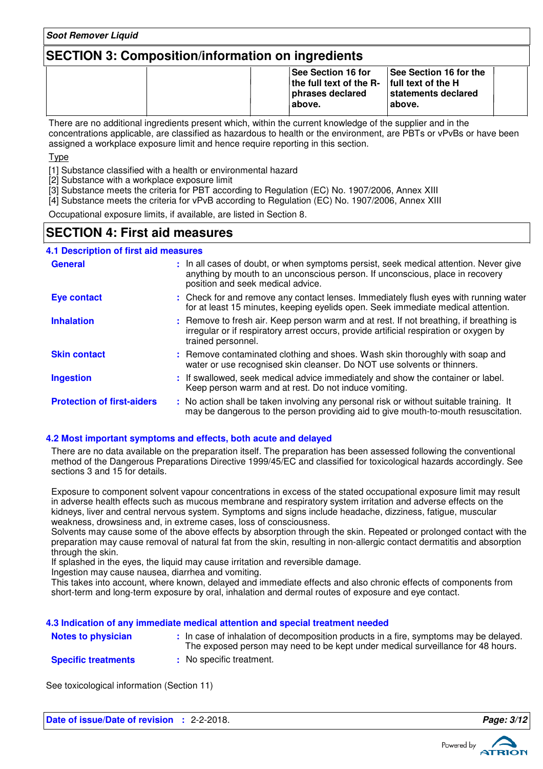### **SECTION 3: Composition/information on ingredients**

|  | <b>See Section 16 for</b><br>the full text of the $R-$ full text of the H<br>phrases declared<br>'above. | <b>See Section 16 for the</b><br>statements declared<br>l above. |  |
|--|----------------------------------------------------------------------------------------------------------|------------------------------------------------------------------|--|
|--|----------------------------------------------------------------------------------------------------------|------------------------------------------------------------------|--|

There are no additional ingredients present which, within the current knowledge of the supplier and in the concentrations applicable, are classified as hazardous to health or the environment, are PBTs or vPvBs or have been assigned a workplace exposure limit and hence require reporting in this section.

**Tyne** 

[1] Substance classified with a health or environmental hazard

[2] Substance with a workplace exposure limit

[3] Substance meets the criteria for PBT according to Regulation (EC) No. 1907/2006, Annex XIII

[4] Substance meets the criteria for vPvB according to Regulation (EC) No. 1907/2006, Annex XIII

Occupational exposure limits, if available, are listed in Section 8.

### **SECTION 4: First aid measures**

#### **4.1 Description of first aid measures**

| <b>General</b>                    | : In all cases of doubt, or when symptoms persist, seek medical attention. Never give<br>anything by mouth to an unconscious person. If unconscious, place in recovery<br>position and seek medical advice. |
|-----------------------------------|-------------------------------------------------------------------------------------------------------------------------------------------------------------------------------------------------------------|
| <b>Eye contact</b>                | : Check for and remove any contact lenses. Immediately flush eyes with running water<br>for at least 15 minutes, keeping eyelids open. Seek immediate medical attention.                                    |
| <b>Inhalation</b>                 | : Remove to fresh air. Keep person warm and at rest. If not breathing, if breathing is<br>irregular or if respiratory arrest occurs, provide artificial respiration or oxygen by<br>trained personnel.      |
| <b>Skin contact</b>               | : Remove contaminated clothing and shoes. Wash skin thoroughly with soap and<br>water or use recognised skin cleanser. Do NOT use solvents or thinners.                                                     |
| <b>Ingestion</b>                  | : If swallowed, seek medical advice immediately and show the container or label.<br>Keep person warm and at rest. Do not induce vomiting.                                                                   |
| <b>Protection of first-aiders</b> | : No action shall be taken involving any personal risk or without suitable training. It<br>may be dangerous to the person providing aid to give mouth-to-mouth resuscitation.                               |

#### **4.2 Most important symptoms and effects, both acute and delayed**

There are no data available on the preparation itself. The preparation has been assessed following the conventional method of the Dangerous Preparations Directive 1999/45/EC and classified for toxicological hazards accordingly. See sections 3 and 15 for details.

Exposure to component solvent vapour concentrations in excess of the stated occupational exposure limit may result in adverse health effects such as mucous membrane and respiratory system irritation and adverse effects on the kidneys, liver and central nervous system. Symptoms and signs include headache, dizziness, fatigue, muscular weakness, drowsiness and, in extreme cases, loss of consciousness.

Solvents may cause some of the above effects by absorption through the skin. Repeated or prolonged contact with the preparation may cause removal of natural fat from the skin, resulting in non-allergic contact dermatitis and absorption through the skin.

If splashed in the eyes, the liquid may cause irritation and reversible damage.

Ingestion may cause nausea, diarrhea and vomiting.

This takes into account, where known, delayed and immediate effects and also chronic effects of components from short-term and long-term exposure by oral, inhalation and dermal routes of exposure and eye contact.

#### **4.3 Indication of any immediate medical attention and special treatment needed**

| <b>Notes to physician</b>  | In case of inhalation of decomposition products in a fire, symptoms may be delayed.<br>The exposed person may need to be kept under medical surveillance for 48 hours. |
|----------------------------|------------------------------------------------------------------------------------------------------------------------------------------------------------------------|
| <b>Specific treatments</b> | No specific treatment.                                                                                                                                                 |

See toxicological information (Section 11)

**Date of issue/Date of revision :** 2-2-2018. **Page: 3/1 Page: 3/12** 

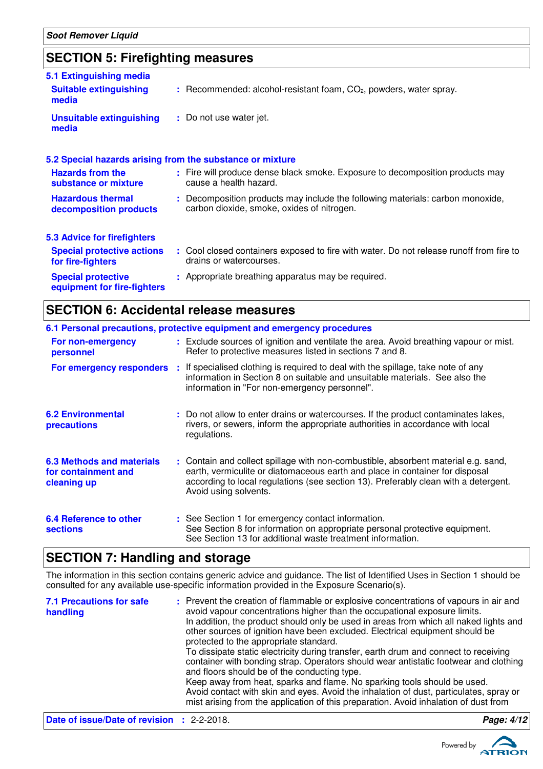### **SECTION 5: Firefighting measures**

| 5.1 Extinguishing media<br><b>Suitable extinguishing</b>  | $:$ Recommended: alcohol-resistant foam, $CO2$ , powders, water spray.                                                       |
|-----------------------------------------------------------|------------------------------------------------------------------------------------------------------------------------------|
| media                                                     |                                                                                                                              |
| <b>Unsuitable extinguishing</b><br>media                  | : Do not use water jet.                                                                                                      |
| 5.2 Special hazards arising from the substance or mixture |                                                                                                                              |
| <b>Hazards from the</b><br>substance or mixture           | : Fire will produce dense black smoke. Exposure to decomposition products may<br>cause a health hazard.                      |
| <b>Hazardous thermal</b><br>decomposition products        | : Decomposition products may include the following materials: carbon monoxide,<br>carbon dioxide, smoke, oxides of nitrogen. |
| <b>5.3 Advice for firefighters</b>                        |                                                                                                                              |
| <b>Special protective actions</b><br>for fire-fighters    | : Cool closed containers exposed to fire with water. Do not release runoff from fire to<br>drains or watercourses.           |
| <b>Special protective</b><br>equipment for fire-fighters  | : Appropriate breathing apparatus may be required.                                                                           |

### **SECTION 6: Accidental release measures**

|                                                                        | 6.1 Personal precautions, protective equipment and emergency procedures                                                                                                                                                                                                            |
|------------------------------------------------------------------------|------------------------------------------------------------------------------------------------------------------------------------------------------------------------------------------------------------------------------------------------------------------------------------|
| For non-emergency<br>personnel                                         | : Exclude sources of ignition and ventilate the area. Avoid breathing vapour or mist.<br>Refer to protective measures listed in sections 7 and 8.                                                                                                                                  |
| For emergency responders                                               | : If specialised clothing is required to deal with the spillage, take note of any<br>information in Section 8 on suitable and unsuitable materials. See also the<br>information in "For non-emergency personnel".                                                                  |
| <b>6.2 Environmental</b><br>precautions                                | : Do not allow to enter drains or watercourses. If the product contaminates lakes,<br>rivers, or sewers, inform the appropriate authorities in accordance with local<br>regulations.                                                                                               |
| <b>6.3 Methods and materials</b><br>for containment and<br>cleaning up | : Contain and collect spillage with non-combustible, absorbent material e.g. sand,<br>earth, vermiculite or diatomaceous earth and place in container for disposal<br>according to local regulations (see section 13). Preferably clean with a detergent.<br>Avoid using solvents. |
| <b>6.4 Reference to other</b><br><b>sections</b>                       | : See Section 1 for emergency contact information.<br>See Section 8 for information on appropriate personal protective equipment.<br>See Section 13 for additional waste treatment information.                                                                                    |

### **SECTION 7: Handling and storage**

The information in this section contains generic advice and guidance. The list of Identified Uses in Section 1 should be consulted for any available use-specific information provided in the Exposure Scenario(s).

| <b>7.1 Precautions for safe</b><br>handling       | : Prevent the creation of flammable or explosive concentrations of vapours in air and<br>avoid vapour concentrations higher than the occupational exposure limits.<br>In addition, the product should only be used in areas from which all naked lights and<br>other sources of ignition have been excluded. Electrical equipment should be<br>protected to the appropriate standard.<br>To dissipate static electricity during transfer, earth drum and connect to receiving<br>container with bonding strap. Operators should wear antistatic footwear and clothing<br>and floors should be of the conducting type.<br>Keep away from heat, sparks and flame. No sparking tools should be used.<br>Avoid contact with skin and eyes. Avoid the inhalation of dust, particulates, spray or<br>mist arising from the application of this preparation. Avoid inhalation of dust from |            |
|---------------------------------------------------|-------------------------------------------------------------------------------------------------------------------------------------------------------------------------------------------------------------------------------------------------------------------------------------------------------------------------------------------------------------------------------------------------------------------------------------------------------------------------------------------------------------------------------------------------------------------------------------------------------------------------------------------------------------------------------------------------------------------------------------------------------------------------------------------------------------------------------------------------------------------------------------|------------|
| <b>Date of issue/Date of revision : 2-2-2018.</b> |                                                                                                                                                                                                                                                                                                                                                                                                                                                                                                                                                                                                                                                                                                                                                                                                                                                                                     | Page: 4/12 |

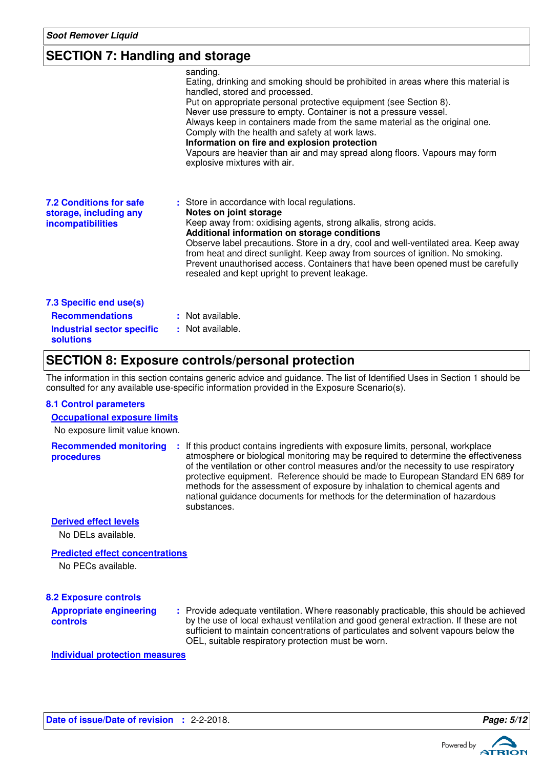### **SECTION 7: Handling and storage**

|                                                                                                            | sanding.<br>Eating, drinking and smoking should be prohibited in areas where this material is<br>handled, stored and processed.<br>Put on appropriate personal protective equipment (see Section 8).<br>Never use pressure to empty. Container is not a pressure vessel.<br>Always keep in containers made from the same material as the original one.<br>Comply with the health and safety at work laws.<br>Information on fire and explosion protection<br>Vapours are heavier than air and may spread along floors. Vapours may form<br>explosive mixtures with air. |
|------------------------------------------------------------------------------------------------------------|-------------------------------------------------------------------------------------------------------------------------------------------------------------------------------------------------------------------------------------------------------------------------------------------------------------------------------------------------------------------------------------------------------------------------------------------------------------------------------------------------------------------------------------------------------------------------|
| <b>7.2 Conditions for safe</b><br>storage, including any<br><b>incompatibilities</b>                       | : Store in accordance with local regulations.<br>Notes on joint storage<br>Keep away from: oxidising agents, strong alkalis, strong acids.<br>Additional information on storage conditions<br>Observe label precautions. Store in a dry, cool and well-ventilated area. Keep away<br>from heat and direct sunlight. Keep away from sources of ignition. No smoking.<br>Prevent unauthorised access. Containers that have been opened must be carefully<br>resealed and kept upright to prevent leakage.                                                                 |
| 7.3 Specific end use(s)<br><b>Recommendations</b><br><b>Industrial sector specific</b><br><b>solutions</b> | : Not available.<br>: Not available.                                                                                                                                                                                                                                                                                                                                                                                                                                                                                                                                    |

### **SECTION 8: Exposure controls/personal protection**

The information in this section contains generic advice and guidance. The list of Identified Uses in Section 1 should be consulted for any available use-specific information provided in the Exposure Scenario(s).

#### **8.1 Control parameters**

#### **Occupational exposure limits**

No exposure limit value known.

**Recommended monitoring procedures :** If this product contains ingredients with exposure limits, personal, workplace atmosphere or biological monitoring may be required to determine the effectiveness of the ventilation or other control measures and/or the necessity to use respiratory protective equipment. Reference should be made to European Standard EN 689 for methods for the assessment of exposure by inhalation to chemical agents and national guidance documents for methods for the determination of hazardous substances.

**Derived effect levels**

No DELs available.

#### **Predicted effect concentrations**

No PECs available.

#### **8.2 Exposure controls**

**Appropriate engineering controls**

Provide adequate ventilation. Where reasonably practicable, this should be achieved **:** by the use of local exhaust ventilation and good general extraction. If these are not sufficient to maintain concentrations of particulates and solvent vapours below the OEL, suitable respiratory protection must be worn.

**Individual protection measures**

```
Date of issue/Date of revision : 2-2-2018. Page: 5/12
```
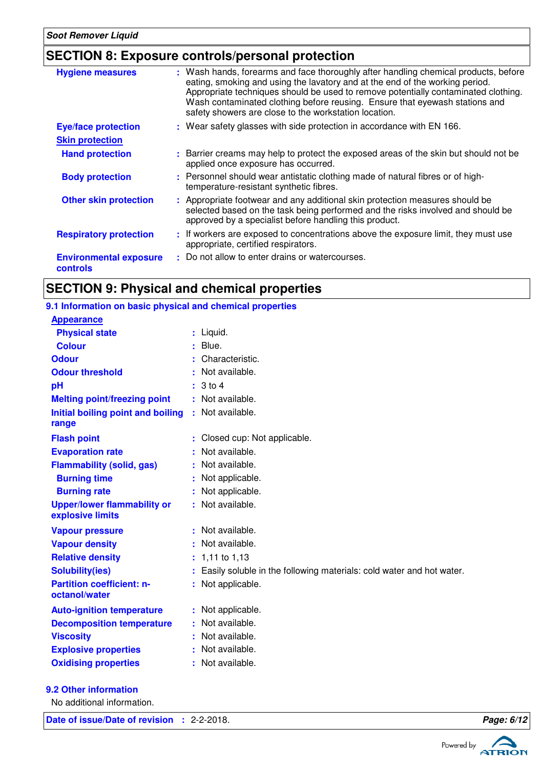### **SECTION 8: Exposure controls/personal protection**

| <b>Hygiene measures</b>                          | : Wash hands, forearms and face thoroughly after handling chemical products, before<br>eating, smoking and using the lavatory and at the end of the working period.<br>Appropriate techniques should be used to remove potentially contaminated clothing.<br>Wash contaminated clothing before reusing. Ensure that eyewash stations and<br>safety showers are close to the workstation location. |
|--------------------------------------------------|---------------------------------------------------------------------------------------------------------------------------------------------------------------------------------------------------------------------------------------------------------------------------------------------------------------------------------------------------------------------------------------------------|
| <b>Eye/face protection</b>                       | : Wear safety glasses with side protection in accordance with EN 166.                                                                                                                                                                                                                                                                                                                             |
| <b>Skin protection</b>                           |                                                                                                                                                                                                                                                                                                                                                                                                   |
| <b>Hand protection</b>                           | : Barrier creams may help to protect the exposed areas of the skin but should not be<br>applied once exposure has occurred.                                                                                                                                                                                                                                                                       |
| <b>Body protection</b>                           | : Personnel should wear antistatic clothing made of natural fibres or of high-<br>temperature-resistant synthetic fibres.                                                                                                                                                                                                                                                                         |
| <b>Other skin protection</b>                     | : Appropriate footwear and any additional skin protection measures should be<br>selected based on the task being performed and the risks involved and should be<br>approved by a specialist before handling this product.                                                                                                                                                                         |
| <b>Respiratory protection</b>                    | : If workers are exposed to concentrations above the exposure limit, they must use<br>appropriate, certified respirators.                                                                                                                                                                                                                                                                         |
| <b>Environmental exposure</b><br><b>controls</b> | : Do not allow to enter drains or watercourses.                                                                                                                                                                                                                                                                                                                                                   |

### **SECTION 9: Physical and chemical properties**

### **9.1 Information on basic physical and chemical properties**

| <b>Appearance</b>                                      |   |                                                                      |
|--------------------------------------------------------|---|----------------------------------------------------------------------|
| <b>Physical state</b>                                  |   | $:$ Liquid.                                                          |
| <b>Colour</b>                                          | ÷ | Blue.                                                                |
| <b>Odour</b>                                           |   | Characteristic.                                                      |
| <b>Odour threshold</b>                                 |   | Not available.                                                       |
| pH                                                     |   | $3$ to $4$                                                           |
| <b>Melting point/freezing point</b>                    |   | Not available.                                                       |
| Initial boiling point and boiling<br>range             | ÷ | Not available.                                                       |
| <b>Flash point</b>                                     |   | Closed cup: Not applicable.                                          |
| <b>Evaporation rate</b>                                |   | Not available.                                                       |
| <b>Flammability (solid, gas)</b>                       |   | Not available.                                                       |
| <b>Burning time</b>                                    |   | Not applicable.                                                      |
| <b>Burning rate</b>                                    |   | Not applicable.                                                      |
| <b>Upper/lower flammability or</b><br>explosive limits |   | Not available.                                                       |
| <b>Vapour pressure</b>                                 |   | Not available.                                                       |
| <b>Vapour density</b>                                  |   | Not available.                                                       |
| <b>Relative density</b>                                |   | 1,11 to 1,13                                                         |
| <b>Solubility(ies)</b>                                 |   | Easily soluble in the following materials: cold water and hot water. |
| <b>Partition coefficient: n-</b><br>octanol/water      |   | Not applicable.                                                      |
| <b>Auto-ignition temperature</b>                       |   | Not applicable.                                                      |
| <b>Decomposition temperature</b>                       |   | Not available.                                                       |
| <b>Viscosity</b>                                       |   | Not available.                                                       |
| <b>Explosive properties</b>                            |   | Not available.                                                       |
| <b>Oxidising properties</b>                            |   | Not available.                                                       |
| <b>9.2 Other information</b>                           |   |                                                                      |
| No additional information.                             |   |                                                                      |

**Date of issue/Date of revision :** 2-2-2018. **Page: 6/12 Page: 6/12** 



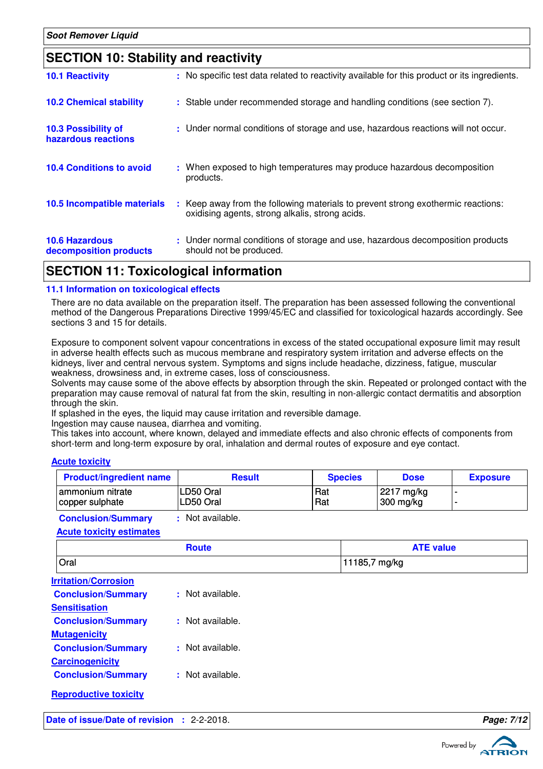| <b>10.1 Reactivity</b>                            |           | : No specific test data related to reactivity available for this product or its ingredients.                                        |
|---------------------------------------------------|-----------|-------------------------------------------------------------------------------------------------------------------------------------|
| <b>10.2 Chemical stability</b>                    |           | : Stable under recommended storage and handling conditions (see section 7).                                                         |
| <b>10.3 Possibility of</b><br>hazardous reactions |           | : Under normal conditions of storage and use, hazardous reactions will not occur.                                                   |
| <b>10.4 Conditions to avoid</b>                   | products. | : When exposed to high temperatures may produce hazardous decomposition                                                             |
| 10.5 Incompatible materials                       |           | : Keep away from the following materials to prevent strong exothermic reactions:<br>oxidising agents, strong alkalis, strong acids. |
| <b>10.6 Hazardous</b><br>decomposition products   |           | : Under normal conditions of storage and use, hazardous decomposition products<br>should not be produced.                           |

### **SECTION 11: Toxicological information**

#### **11.1 Information on toxicological effects**

There are no data available on the preparation itself. The preparation has been assessed following the conventional method of the Dangerous Preparations Directive 1999/45/EC and classified for toxicological hazards accordingly. See sections 3 and 15 for details.

Exposure to component solvent vapour concentrations in excess of the stated occupational exposure limit may result in adverse health effects such as mucous membrane and respiratory system irritation and adverse effects on the kidneys, liver and central nervous system. Symptoms and signs include headache, dizziness, fatigue, muscular weakness, drowsiness and, in extreme cases, loss of consciousness.

Solvents may cause some of the above effects by absorption through the skin. Repeated or prolonged contact with the preparation may cause removal of natural fat from the skin, resulting in non-allergic contact dermatitis and absorption through the skin.

If splashed in the eyes, the liquid may cause irritation and reversible damage.

Ingestion may cause nausea, diarrhea and vomiting.

This takes into account, where known, delayed and immediate effects and also chronic effects of components from short-term and long-term exposure by oral, inhalation and dermal routes of exposure and eye contact.

#### **Acute toxicity**

| <b>Product/ingredient name</b> | <b>Result</b> | <b>Species</b> | <b>Dose</b> | <b>Exposure</b> |
|--------------------------------|---------------|----------------|-------------|-----------------|
| ammonium nitrate               | LD50 Oral     | Rat            | 2217 mg/kg  |                 |
| copper sulphate                | LD50 Oral     | Rat            | 300 mg/kg   |                 |

**Conclusion/Summary :** Not available.

|  |  |  | <b>Acute toxicity estimates</b> |
|--|--|--|---------------------------------|
|--|--|--|---------------------------------|

|                                            | <b>Route</b>     | <b>ATE value</b> |            |
|--------------------------------------------|------------------|------------------|------------|
| Oral                                       |                  | 11185,7 mg/kg    |            |
| <b>Irritation/Corrosion</b>                |                  |                  |            |
| <b>Conclusion/Summary</b>                  | : Not available. |                  |            |
| <b>Sensitisation</b>                       |                  |                  |            |
| <b>Conclusion/Summary</b>                  | : Not available. |                  |            |
| <b>Mutagenicity</b>                        |                  |                  |            |
| <b>Conclusion/Summary</b>                  | : Not available. |                  |            |
| <b>Carcinogenicity</b>                     |                  |                  |            |
| <b>Conclusion/Summary</b>                  | : Not available. |                  |            |
| <b>Reproductive toxicity</b>               |                  |                  |            |
| Date of issue/Date of revision : 2-2-2018. |                  |                  | Page: 7/12 |



Powered by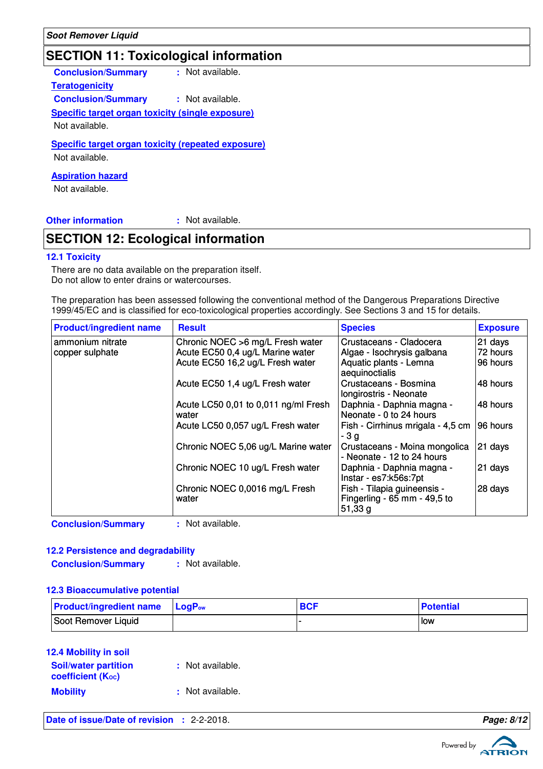### **SECTION 11: Toxicological information**

**Conclusion/Summary :** Not available.

**Teratogenicity**

**Conclusion/Summary :** Not available.

# **Specific target organ toxicity (single exposure)**

Not available.

#### **Specific target organ toxicity (repeated exposure)**

Not available.

#### **Aspiration hazard**

Not available.

**Other information :**

: Not available.

### **SECTION 12: Ecological information**

#### **12.1 Toxicity**

There are no data available on the preparation itself. Do not allow to enter drains or watercourses.

The preparation has been assessed following the conventional method of the Dangerous Preparations Directive 1999/45/EC and is classified for eco-toxicological properties accordingly. See Sections 3 and 15 for details.

| <b>Product/ingredient name</b>      | <b>Result</b>                                                                                            | <b>Species</b>                                                                                    | <b>Exposure</b>                 |
|-------------------------------------|----------------------------------------------------------------------------------------------------------|---------------------------------------------------------------------------------------------------|---------------------------------|
| ammonium nitrate<br>copper sulphate | Chronic NOEC >6 mg/L Fresh water<br>Acute EC50 0,4 ug/L Marine water<br>Acute EC50 16,2 ug/L Fresh water | Crustaceans - Cladocera<br>Algae - Isochrysis galbana<br>Aquatic plants - Lemna<br>aequinoctialis | 21 days<br>72 hours<br>96 hours |
|                                     | Acute EC50 1,4 ug/L Fresh water                                                                          | Crustaceans - Bosmina<br>longirostris - Neonate                                                   | 48 hours                        |
|                                     | Acute LC50 0,01 to 0,011 ng/ml Fresh<br>water                                                            | Daphnia - Daphnia magna -<br>Neonate - 0 to 24 hours                                              | 48 hours                        |
|                                     | Acute LC50 0,057 ug/L Fresh water                                                                        | Fish - Cirrhinus mrigala - 4,5 cm<br>- 3 a                                                        | 196 hours                       |
|                                     | Chronic NOEC 5,06 ug/L Marine water                                                                      | Crustaceans - Moina mongolica<br>- Neonate - 12 to 24 hours                                       | 21 days                         |
|                                     | Chronic NOEC 10 ug/L Fresh water                                                                         | Daphnia - Daphnia magna -<br>Instar - es7:k56s:7pt                                                | 21 days                         |
|                                     | Chronic NOEC 0,0016 mg/L Fresh<br>water                                                                  | Fish - Tilapia guineensis -<br>Fingerling - 65 mm - 49,5 to<br>51,33g                             | 28 days                         |

**Conclusion/Summary :** Not available.

#### **12.2 Persistence and degradability**

**Conclusion/Summary :** Not available.

### **12.3 Bioaccumulative potential**

| <b>Product/ingredient name</b> | $\blacksquare$ Log $\mathsf{P}_{\mathsf{ow}}$ | <b>BCF</b> | <b>Potential</b> |
|--------------------------------|-----------------------------------------------|------------|------------------|
| Soot Remover Liquid            |                                               |            | l low            |

#### **12.4 Mobility in soil**

| <b>Soil/water partition</b><br><b>coefficient</b> (K <sub>oc</sub> ) | : Not available. |
|----------------------------------------------------------------------|------------------|
| <b>Mobility</b>                                                      | : Not available. |

**Date of issue/Date of revision :** 2-2-2018. **Page: 8/12**

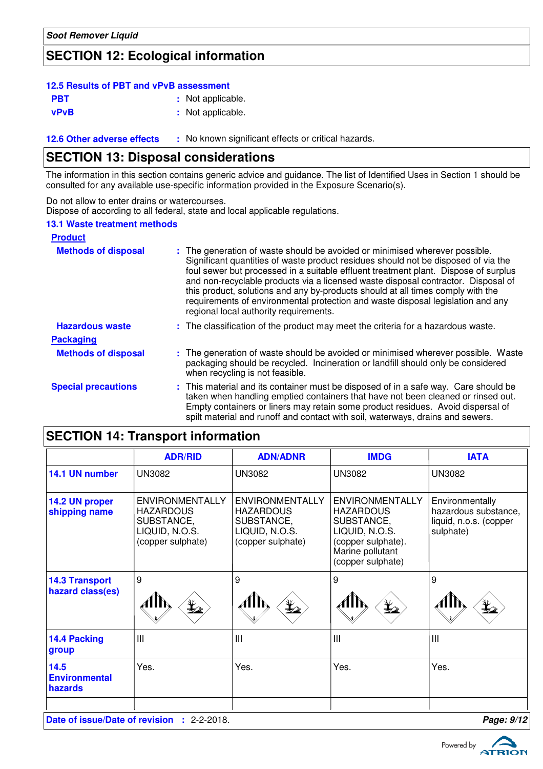### **SECTION 12: Ecological information**

#### **PBT** : Not applicable. **vPvB :** Not applicable. **12.5 Results of PBT and vPvB assessment**

**12.6 Other adverse effects** : No known significant effects or critical hazards.

### **SECTION 13: Disposal considerations**

The information in this section contains generic advice and guidance. The list of Identified Uses in Section 1 should be consulted for any available use-specific information provided in the Exposure Scenario(s).

Do not allow to enter drains or watercourses.

Dispose of according to all federal, state and local applicable regulations.

#### **13.1 Waste treatment methods**

| <b>Product</b>             |                                                                                                                                                                                                                                                                                                                                                                                                                                                                                                                                                               |
|----------------------------|---------------------------------------------------------------------------------------------------------------------------------------------------------------------------------------------------------------------------------------------------------------------------------------------------------------------------------------------------------------------------------------------------------------------------------------------------------------------------------------------------------------------------------------------------------------|
| <b>Methods of disposal</b> | : The generation of waste should be avoided or minimised wherever possible.<br>Significant quantities of waste product residues should not be disposed of via the<br>foul sewer but processed in a suitable effluent treatment plant. Dispose of surplus<br>and non-recyclable products via a licensed waste disposal contractor. Disposal of<br>this product, solutions and any by-products should at all times comply with the<br>requirements of environmental protection and waste disposal legislation and any<br>regional local authority requirements. |
| <b>Hazardous waste</b>     | : The classification of the product may meet the criteria for a hazardous waste.                                                                                                                                                                                                                                                                                                                                                                                                                                                                              |
| <b>Packaging</b>           |                                                                                                                                                                                                                                                                                                                                                                                                                                                                                                                                                               |
| <b>Methods of disposal</b> | : The generation of waste should be avoided or minimised wherever possible. Waste<br>packaging should be recycled. Incineration or landfill should only be considered<br>when recycling is not feasible.                                                                                                                                                                                                                                                                                                                                                      |
| <b>Special precautions</b> | : This material and its container must be disposed of in a safe way. Care should be<br>taken when handling emptied containers that have not been cleaned or rinsed out.<br>Empty containers or liners may retain some product residues. Avoid dispersal of<br>spilt material and runoff and contact with soil, waterways, drains and sewers.                                                                                                                                                                                                                  |

# **SECTION 14: Transport information**

|                                                                   | <b>ADR/RID</b>                                                                                  | <b>ADN/ADNR</b>                                                                                 | <b>IMDG</b>                                                                                                                               | <b>IATA</b>                                                                    |
|-------------------------------------------------------------------|-------------------------------------------------------------------------------------------------|-------------------------------------------------------------------------------------------------|-------------------------------------------------------------------------------------------------------------------------------------------|--------------------------------------------------------------------------------|
| 14.1 UN number                                                    | <b>UN3082</b>                                                                                   | <b>UN3082</b>                                                                                   | <b>UN3082</b>                                                                                                                             | <b>UN3082</b>                                                                  |
| 14.2 UN proper<br>shipping name                                   | <b>ENVIRONMENTALLY</b><br><b>HAZARDOUS</b><br>SUBSTANCE,<br>LIQUID, N.O.S.<br>(copper sulphate) | <b>ENVIRONMENTALLY</b><br><b>HAZARDOUS</b><br>SUBSTANCE,<br>LIQUID, N.O.S.<br>(copper sulphate) | <b>ENVIRONMENTALLY</b><br><b>HAZARDOUS</b><br>SUBSTANCE,<br>LIQUID, N.O.S.<br>(copper sulphate).<br>Marine pollutant<br>(copper sulphate) | Environmentally<br>hazardous substance,<br>liquid, n.o.s. (copper<br>sulphate) |
| <b>14.3 Transport</b><br>hazard class(es)                         | 9                                                                                               | 9<br>$\mathbf{\mathbf{\downarrow}}_{2}$                                                         | 9                                                                                                                                         | 9<br>$\mathbf{\mathbf{\Psi}}_{2}$                                              |
| 14.4 Packing<br>group                                             | $\mathbf{III}$                                                                                  | III                                                                                             | Ш                                                                                                                                         | $\mathbf{III}$                                                                 |
| 14.5<br><b>Environmental</b><br>hazards                           | Yes.                                                                                            | Yes.                                                                                            | Yes.                                                                                                                                      | Yes.                                                                           |
| Page: 9/12<br>Date of issue/Date of revision<br>$: 2 - 2 - 2018.$ |                                                                                                 |                                                                                                 |                                                                                                                                           |                                                                                |

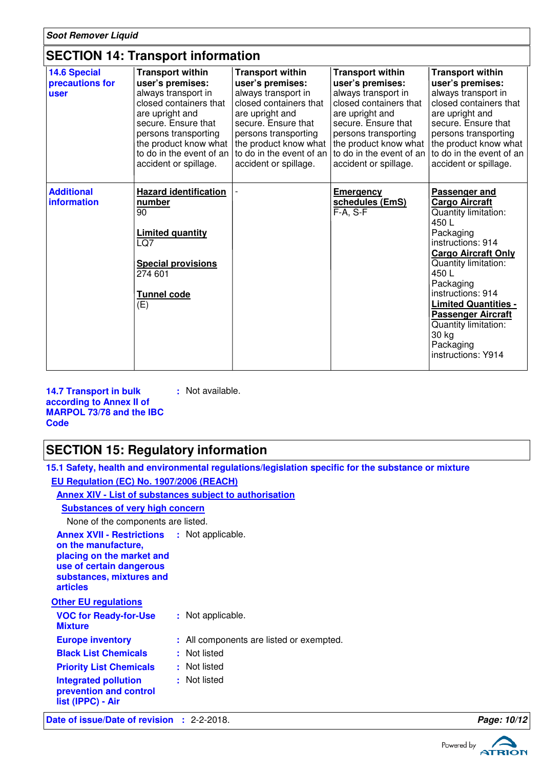### **SECTION 14: Transport information**

| <b>14.6 Special</b><br>precautions for<br>user | <b>Transport within</b><br>user's premises:<br>always transport in<br>closed containers that<br>are upright and<br>secure. Ensure that<br>persons transporting<br>the product know what<br>to do in the event of an<br>accident or spillage. | <b>Transport within</b><br>user's premises:<br>always transport in<br>closed containers that<br>are upright and<br>secure. Ensure that<br>persons transporting<br>the product know what<br>to do in the event of an<br>accident or spillage. | <b>Transport within</b><br>user's premises:<br>always transport in<br>closed containers that<br>are upright and<br>secure. Ensure that<br>persons transporting<br>the product know what<br>to do in the event of an<br>accident or spillage. | <b>Transport within</b><br>user's premises:<br>always transport in<br>closed containers that<br>are upright and<br>secure. Ensure that<br>persons transporting<br>the product know what<br>to do in the event of an<br>accident or spillage.                                                                                             |
|------------------------------------------------|----------------------------------------------------------------------------------------------------------------------------------------------------------------------------------------------------------------------------------------------|----------------------------------------------------------------------------------------------------------------------------------------------------------------------------------------------------------------------------------------------|----------------------------------------------------------------------------------------------------------------------------------------------------------------------------------------------------------------------------------------------|------------------------------------------------------------------------------------------------------------------------------------------------------------------------------------------------------------------------------------------------------------------------------------------------------------------------------------------|
| <b>Additional</b><br><b>information</b>        | <b>Hazard identification</b><br>number<br>90<br><b>Limited quantity</b><br>LQ7<br><b>Special provisions</b><br>274 601<br>Tunnel code<br>(E)                                                                                                 |                                                                                                                                                                                                                                              | <b>Emergency</b><br>schedules (EmS)<br>$F-A, S-F$                                                                                                                                                                                            | Passenger and<br><b>Cargo Aircraft</b><br>Quantity limitation:<br>450L<br>Packaging<br>instructions: 914<br><b>Cargo Aircraft Only</b><br>Quantity limitation:<br>450L<br>Packaging<br>instructions: 914<br><b>Limited Quantities -</b><br><b>Passenger Aircraft</b><br>Quantity limitation:<br>30 kg<br>Packaging<br>instructions: Y914 |

**14.7 Transport in bulk according to Annex II of MARPOL 73/78 and the IBC Code :** Not available.

### **SECTION 15: Regulatory information**

**15.1 Safety, health and environmental regulations/legislation specific for the substance or mixture EU Regulation (EC) No. 1907/2006 (REACH)**

**Annex XIV - List of substances subject to authorisation**

**Substances of very high concern**

None of the components are listed.

| <b>Annex XVII - Restrictions</b><br>on the manufacture,<br>placing on the market and<br>use of certain dangerous<br>substances, mixtures and<br>articles | : Not applicable.                        |
|----------------------------------------------------------------------------------------------------------------------------------------------------------|------------------------------------------|
| <b>Other EU regulations</b>                                                                                                                              |                                          |
| <b>VOC for Ready-for-Use</b><br><b>Mixture</b>                                                                                                           | : Not applicable.                        |
| <b>Europe inventory</b>                                                                                                                                  | : All components are listed or exempted. |
| <b>Black List Chemicals</b>                                                                                                                              | : Not listed                             |
| <b>Priority List Chemicals</b>                                                                                                                           | : Not listed                             |
| <b>Integrated pollution</b><br>prevention and control<br>list (IPPC) - Air                                                                               | : Not listed                             |
|                                                                                                                                                          |                                          |

**Date of issue/Date of revision :** 2-2-2018. **Page: 10/12 Page: 10/12** 

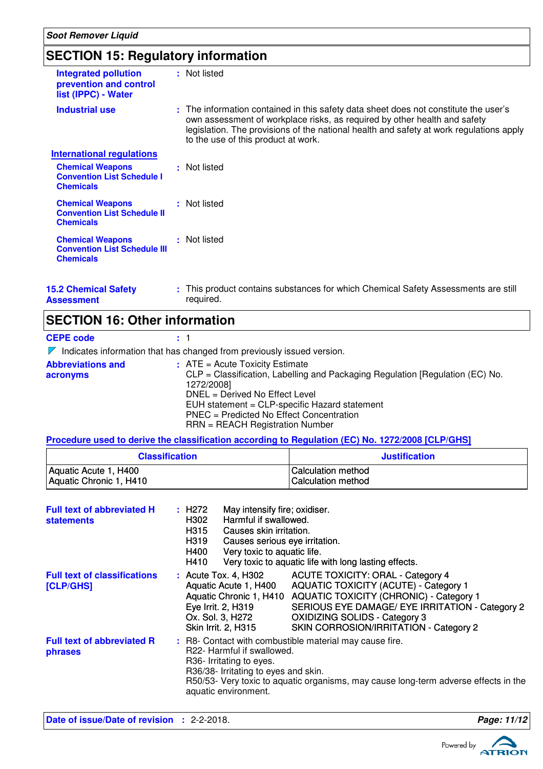### **SECTION 15: Regulatory information**

| <b>SECTION 15: Regulatory information</b>                                          |                                                                                                                                                                                                                                                                                                     |                                                                                                   |  |  |
|------------------------------------------------------------------------------------|-----------------------------------------------------------------------------------------------------------------------------------------------------------------------------------------------------------------------------------------------------------------------------------------------------|---------------------------------------------------------------------------------------------------|--|--|
| <b>Integrated pollution</b><br>prevention and control<br>list (IPPC) - Water       | : Not listed                                                                                                                                                                                                                                                                                        |                                                                                                   |  |  |
| <b>Industrial use</b>                                                              | : The information contained in this safety data sheet does not constitute the user's<br>own assessment of workplace risks, as required by other health and safety<br>legislation. The provisions of the national health and safety at work regulations apply<br>to the use of this product at work. |                                                                                                   |  |  |
| <b>International regulations</b>                                                   |                                                                                                                                                                                                                                                                                                     |                                                                                                   |  |  |
| <b>Chemical Weapons</b><br><b>Convention List Schedule I</b><br><b>Chemicals</b>   | : Not listed                                                                                                                                                                                                                                                                                        |                                                                                                   |  |  |
| <b>Chemical Weapons</b><br><b>Convention List Schedule II</b><br><b>Chemicals</b>  | : Not listed                                                                                                                                                                                                                                                                                        |                                                                                                   |  |  |
| <b>Chemical Weapons</b><br><b>Convention List Schedule III</b><br><b>Chemicals</b> | : Not listed                                                                                                                                                                                                                                                                                        |                                                                                                   |  |  |
| <b>15.2 Chemical Safety</b><br><b>Assessment</b>                                   | : This product contains substances for which Chemical Safety Assessments are still<br>required.                                                                                                                                                                                                     |                                                                                                   |  |  |
| <b>SECTION 16: Other information</b>                                               |                                                                                                                                                                                                                                                                                                     |                                                                                                   |  |  |
| <b>CEPE code</b>                                                                   | : 1                                                                                                                                                                                                                                                                                                 |                                                                                                   |  |  |
| $\nabla$ Indicates information that has changed from previously issued version.    |                                                                                                                                                                                                                                                                                                     |                                                                                                   |  |  |
| <b>Abbreviations and</b>                                                           | $:$ ATE = Acute Toxicity Estimate                                                                                                                                                                                                                                                                   |                                                                                                   |  |  |
| acronyms                                                                           |                                                                                                                                                                                                                                                                                                     | CLP = Classification, Labelling and Packaging Regulation [Regulation (EC) No.                     |  |  |
|                                                                                    | 1272/2008]<br>DNEL = Derived No Effect Level                                                                                                                                                                                                                                                        |                                                                                                   |  |  |
|                                                                                    |                                                                                                                                                                                                                                                                                                     | EUH statement = CLP-specific Hazard statement                                                     |  |  |
|                                                                                    | PNEC = Predicted No Effect Concentration                                                                                                                                                                                                                                                            |                                                                                                   |  |  |
|                                                                                    | RRN = REACH Registration Number                                                                                                                                                                                                                                                                     |                                                                                                   |  |  |
|                                                                                    |                                                                                                                                                                                                                                                                                                     | Procedure used to derive the classification according to Regulation (EC) No. 1272/2008 [CLP/GHS]  |  |  |
| <b>Classification</b>                                                              |                                                                                                                                                                                                                                                                                                     | <b>Justification</b>                                                                              |  |  |
| Aquatic Acute 1, H400                                                              |                                                                                                                                                                                                                                                                                                     | <b>Calculation method</b>                                                                         |  |  |
| Aquatic Chronic 1, H410                                                            |                                                                                                                                                                                                                                                                                                     | <b>Calculation method</b>                                                                         |  |  |
|                                                                                    |                                                                                                                                                                                                                                                                                                     |                                                                                                   |  |  |
| <b>Full text of abbreviated H</b><br><b>statements</b>                             | : H272<br>May intensify fire; oxidiser.<br>Harmful if swallowed.<br>H302                                                                                                                                                                                                                            |                                                                                                   |  |  |
|                                                                                    | H315<br>Causes skin irritation.                                                                                                                                                                                                                                                                     |                                                                                                   |  |  |
|                                                                                    | H319<br>Causes serious eye irritation.                                                                                                                                                                                                                                                              |                                                                                                   |  |  |
|                                                                                    | H400                                                                                                                                                                                                                                                                                                | Very toxic to aquatic life.                                                                       |  |  |
|                                                                                    | H410                                                                                                                                                                                                                                                                                                | Very toxic to aquatic life with long lasting effects.                                             |  |  |
| <b>Full text of classifications</b>                                                | : Acute Tox. 4, H302<br>Aquatic Acute 1, H400                                                                                                                                                                                                                                                       | <b>ACUTE TOXICITY: ORAL - Category 4</b>                                                          |  |  |
| [CLP/GHS]                                                                          | <b>AQUATIC TOXICITY (ACUTE) - Category 1</b>                                                                                                                                                                                                                                                        |                                                                                                   |  |  |
|                                                                                    | Aquatic Chronic 1, H410<br>Eye Irrit. 2, H319                                                                                                                                                                                                                                                       | <b>AQUATIC TOXICITY (CHRONIC) - Category 1</b><br>SERIOUS EYE DAMAGE/ EYE IRRITATION - Category 2 |  |  |

R8- Contact with combustible material may cause fire. R22- Harmful if swallowed. R36- Irritating to eyes. R36/38- Irritating to eyes and skin. R50/53- Very toxic to aquatic organisms, may cause long-term adverse effects in the aquatic environment. **Full text of abbreviated R phrases :** Ox. Sol. 3, H272 OXIDIZING SOLIDS - Category 3 Skin Irrit. 2, H315 SKIN CORROSION/IRRITATION - Category 2

**Date of issue/Date of revision :** 2-2-2018. **Page: 11/12**